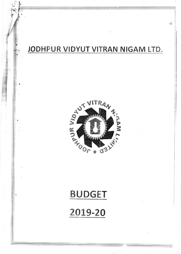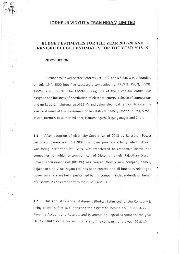## JODHPUR VIDYUT VITRAN NIGAM LIMITED

## BUDGET ESTIMATES FOR THE YEAR 2019-20 AND REVISED BUDGET ESTIMATES FOR THE YEAR 2018-19

I

I

t

t

## INTRODUCTION:

 $\left($ 1/B

r<br>C

Pursuant to Power Sector Reforms Act 1999, the R.S.E.B. was unbundled on July 19<sup>th</sup>, 2000 into five successors companies i.e. RRVPN, RVUN, JVVNL, AVVNL and JdVVNL. The JdVVNL, being one of the successor entity, was assigned the business of distribution of electrical energy, release of connections and up-keep & maintenance of 33 KV and below electrical network to cater the electrical need of the consumers of ten districts name'y; Jodhpur, Pali, Sirohi, Jalore, Barmer, Jaisalmer, Bikaner, Hanumangarh, Srigar ganagar and Churu.

1,1 After adoption of electricity Supply Act of 20 )3 by Rajasthan Power Sector companies w.e.f. 1.4.2004, the power purchase activity, which hitherto was being performed by RVPN, was transferred to respective distribution companies for which a common cell of Discoms na.nely Rajasthan Discom Power Procurement Cell (RDPPC) was created. Now, a new company namely Rajasthan Urja Vikas Nigam Ltd. has been created and all functions relating to power purchase are being performed by this company independently on behalf of Discoms in consultation with their CMD's/MD's.

1.2 This Annual Financial Statement (Budget Estim ates) of the Company is being placed before BOD depicting the estimated lncome and Expenditure on Revenue Account and Receipts and Payments on Capi:al Account for the year 2019-20 and also the Revised Estimates of the company for the year 2018-19.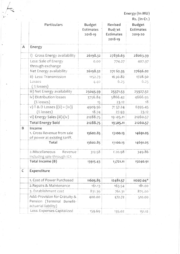Energy (In MU)  $\lambda$ 

|   |                                                                                     |                                       |                                           | Rs. (In Cr.)                          |
|---|-------------------------------------------------------------------------------------|---------------------------------------|-------------------------------------------|---------------------------------------|
|   | Particulars                                                                         | <b>Budget</b><br>Estimates<br>2018-19 | Revised<br>Budget<br>Estimates<br>2018-19 | <b>Budget</b><br>Estimates<br>2019-20 |
| Α | Energy                                                                              |                                       |                                           |                                       |
|   | i) Gross Energy availability                                                        | 26198.32                              | 27836.63                                  | 28063.39                              |
|   | Less: Sale of Energy<br>through exchange                                            | 0.00                                  | 774.27                                    | 407.37                                |
|   | Net Energy availability                                                             | 26198.32                              | 27062.35                                  | 27656.02                              |
|   | ii) Less: Transmission                                                              | 1152.73                               | 16 30.82                                  | 1728.50                               |
|   | Losses<br>$(% \mathbb{R}^2)$ (% losses)                                             | 4.40                                  | 6.25                                      | 6.25                                  |
|   | iii) Net Energy availability                                                        | 25045.59                              | 25371.53                                  | 25927.52                              |
|   | iv) Distribution losses                                                             | 3756.84                               | 5866.42                                   | 4666.95                               |
|   | $(% \mathcal{L}_{0})$ (% losses)                                                    | 15                                    | 23.12                                     | 18                                    |
|   | v) T & D Losses $\{(ii) + (iv)\}$                                                   | 4909.56                               | 7.57.24                                   | 6395.45                               |
|   | $(% \mathcal{L}_{0})$ (% losses)                                                    | 18.74                                 | 27.93                                     | 23.12                                 |
|   | vi) Energy Sales (iii)-(iv)                                                         | 21288.75                              | 19 105.11                                 | 21260.57                              |
|   | <b>Total Energy Sold</b>                                                            | 21288.75                              | 19505.11                                  | 21260.57                              |
| B | Income<br>1. Gross Revenue from sale<br>of power at existing tariff.                | 13602.85                              | 13100.13                                  | 14691.05                              |
|   | Total                                                                               | 13602.85                              | 13100.13                                  | 14691.05                              |
|   | 2. Miscellaneous<br>Revenue<br>including sale through IEX                           | 312.58                                | 620.98                                    | 349.86                                |
|   | Total Income (B)                                                                    | 13915.43                              | 13721.11                                  | 15040.91                              |
| C | Expenditure                                                                         |                                       |                                           |                                       |
|   | 1. Cost of Power Purchased                                                          | 11605.85                              | 12481.57                                  | $11207.04*$                           |
|   | 2. Repairs & Maintenance                                                            | 161.13                                | 163.54                                    | 181.00                                |
|   | 3. Establishment cost                                                               | 831.39                                | 761.31                                    | 875.00                                |
|   | Add:-Provision for Gratuity &<br>Pension (Terminal Benefit-<br>actuarial liability) | 400.00                                | 472.72                                    | 510.00                                |
|   | Less: Expenses Capitalized                                                          | 159.69                                | 135.02                                    | 151.12                                |